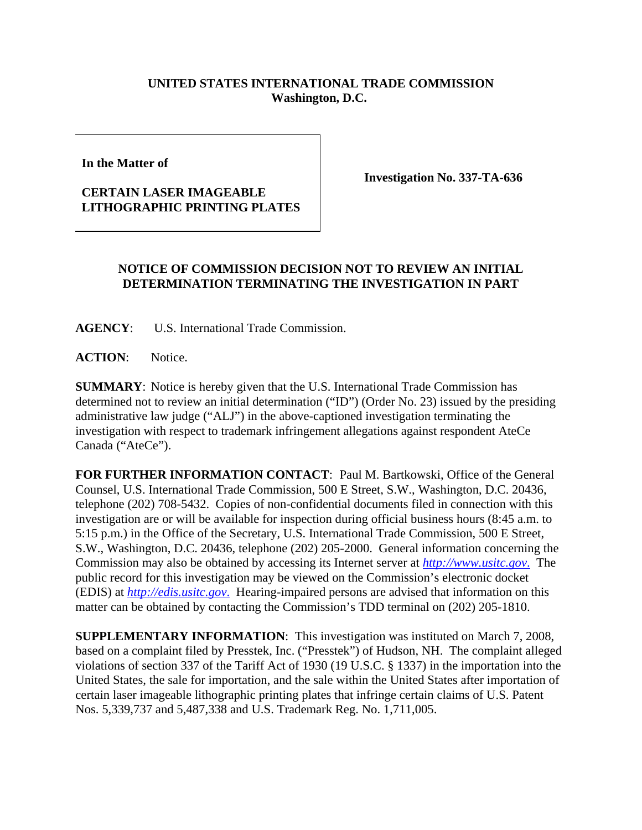## **UNITED STATES INTERNATIONAL TRADE COMMISSION Washington, D.C.**

**In the Matter of** 

## **CERTAIN LASER IMAGEABLE LITHOGRAPHIC PRINTING PLATES**

**Investigation No. 337-TA-636**

## **NOTICE OF COMMISSION DECISION NOT TO REVIEW AN INITIAL DETERMINATION TERMINATING THE INVESTIGATION IN PART**

**AGENCY**: U.S. International Trade Commission.

**ACTION**: Notice.

**SUMMARY**: Notice is hereby given that the U.S. International Trade Commission has determined not to review an initial determination ("ID") (Order No. 23) issued by the presiding administrative law judge ("ALJ") in the above-captioned investigation terminating the investigation with respect to trademark infringement allegations against respondent AteCe Canada ("AteCe").

**FOR FURTHER INFORMATION CONTACT**: Paul M. Bartkowski, Office of the General Counsel, U.S. International Trade Commission, 500 E Street, S.W., Washington, D.C. 20436, telephone (202) 708-5432. Copies of non-confidential documents filed in connection with this investigation are or will be available for inspection during official business hours (8:45 a.m. to 5:15 p.m.) in the Office of the Secretary, U.S. International Trade Commission, 500 E Street, S.W., Washington, D.C. 20436, telephone (202) 205-2000. General information concerning the Commission may also be obtained by accessing its Internet server at *http://www.usitc.gov*. The public record for this investigation may be viewed on the Commission's electronic docket (EDIS) at *http://edis.usitc.gov*. Hearing-impaired persons are advised that information on this matter can be obtained by contacting the Commission's TDD terminal on (202) 205-1810.

**SUPPLEMENTARY INFORMATION**: This investigation was instituted on March 7, 2008, based on a complaint filed by Presstek, Inc. ("Presstek") of Hudson, NH. The complaint alleged violations of section 337 of the Tariff Act of 1930 (19 U.S.C. § 1337) in the importation into the United States, the sale for importation, and the sale within the United States after importation of certain laser imageable lithographic printing plates that infringe certain claims of U.S. Patent Nos. 5,339,737 and 5,487,338 and U.S. Trademark Reg. No. 1,711,005.